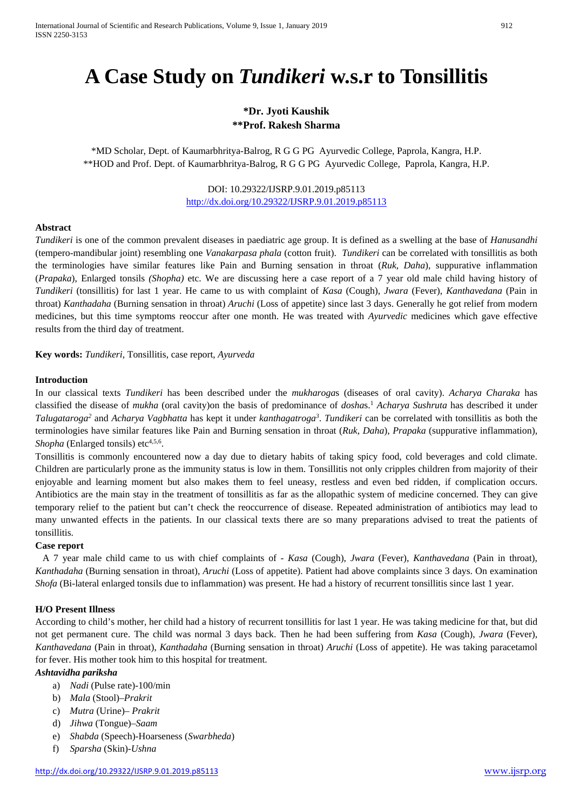# **A Case Study on** *Tundikeri* **w.s.r to Tonsillitis**

# **\*Dr. Jyoti Kaushik \*\*Prof. Rakesh Sharma**

\*MD Scholar, Dept. of Kaumarbhritya-Balrog, R G G PG Ayurvedic College, Paprola, Kangra, H.P. \*\*HOD and Prof. Dept. of Kaumarbhritya-Balrog, R G G PG Ayurvedic College, Paprola, Kangra, H.P.

> DOI: 10.29322/IJSRP.9.01.2019.p85113 <http://dx.doi.org/10.29322/IJSRP.9.01.2019.p85113>

#### **Abstract**

*Tundikeri* is one of the common prevalent diseases in paediatric age group. It is defined as a swelling at the base of *Hanusandhi* (tempero-mandibular joint) resembling one *Vanakarpasa phala* (cotton fruit). *Tundikeri* can be correlated with tonsillitis as both the terminologies have similar features like Pain and Burning sensation in throat (*Ruk, Daha*), suppurative inflammation (*Prapaka*), Enlarged tonsils *(Shopha)* etc. We are discussing here a case report of a 7 year old male child having history of *Tundikeri* (tonsillitis) for last 1 year. He came to us with complaint of *Kasa* (Cough), *Jwara* (Fever), *Kanthavedana* (Pain in throat) *Kanthadaha* (Burning sensation in throat) *Aruchi* (Loss of appetite) since last 3 days. Generally he got relief from modern medicines, but this time symptoms reoccur after one month. He was treated with *Ayurvedic* medicines which gave effective results from the third day of treatment.

**Key words:** *Tundikeri*, Tonsillitis, case report, *Ayurveda*

#### **Introduction**

In our classical texts *Tundikeri* has been described under the *mukharoga*s (diseases of oral cavity). *Acharya Charaka* has classified the disease of *mukha* (oral cavity)on the basis of predominance of *dosha*s.1 *Acharya Sushruta* has described it under *Talugataroga2* and *Acharya Vagbhatta* has kept it under *kanthagatroga3* . *Tundikeri* can be correlated with tonsillitis as both the terminologies have similar features like Pain and Burning sensation in throat (*Ruk, Daha*), *Prapaka* (suppurative inflammation), *Shopha* (Enlarged tonsils) etc<sup>4,5,6</sup>.

Tonsillitis is commonly encountered now a day due to dietary habits of taking spicy food, cold beverages and cold climate. Children are particularly prone as the immunity status is low in them. Tonsillitis not only cripples children from majority of their enjoyable and learning moment but also makes them to feel uneasy, restless and even bed ridden, if complication occurs. Antibiotics are the main stay in the treatment of tonsillitis as far as the allopathic system of medicine concerned. They can give temporary relief to the patient but can't check the reoccurrence of disease. Repeated administration of antibiotics may lead to many unwanted effects in the patients. In our classical texts there are so many preparations advised to treat the patients of tonsillitis.

### **Case report**

 A 7 year male child came to us with chief complaints of - *Kasa* (Cough), *Jwara* (Fever), *Kanthavedana* (Pain in throat), *Kanthadaha* (Burning sensation in throat), *Aruchi* (Loss of appetite). Patient had above complaints since 3 days. On examination *Shofa* (Bi-lateral enlarged tonsils due to inflammation) was present. He had a history of recurrent tonsillitis since last 1 year.

#### **H/O Present Illness**

According to child's mother, her child had a history of recurrent tonsillitis for last 1 year. He was taking medicine for that, but did not get permanent cure. The child was normal 3 days back. Then he had been suffering from *Kasa* (Cough), *Jwara* (Fever), *Kanthavedana* (Pain in throat), *Kanthadaha* (Burning sensation in throat) *Aruchi* (Loss of appetite). He was taking paracetamol for fever. His mother took him to this hospital for treatment.

#### *Ashtavidha pariksha*

- a) *Nadi* (Pulse rate)-100/min
- b) *Mala* (Stool)–*Prakrit*
- c) *Mutra* (Urine)– *Prakrit*
- d) *Jihwa* (Tongue)–*Saam*
- e) *Shabda* (Speech)-Hoarseness (*Swarbheda*)
- f) *Sparsha* (Skin)-*Ushna*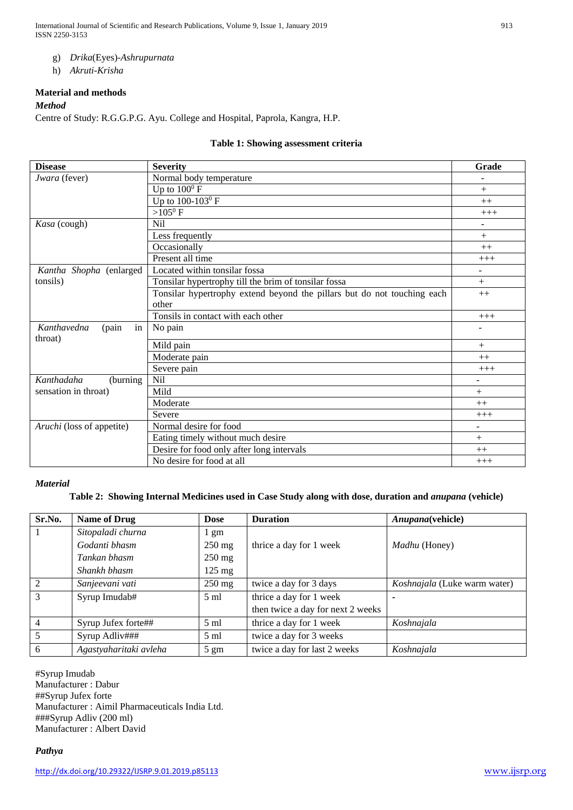International Journal of Scientific and Research Publications, Volume 9, Issue 1, January 2019 913 ISSN 2250-3153

- g) *Drika*(Eyes)-*Ashrupurnata*
- h) *Akruti*-*Krisha*

# **Material and methods**

### *Method*

Centre of Study: R.G.G.P.G. Ayu. College and Hospital, Paprola, Kangra, H.P.

# **Table 1: Showing assessment criteria**

| <b>Disease</b>                        | <b>Severity</b>                                                         | Grade                    |
|---------------------------------------|-------------------------------------------------------------------------|--------------------------|
| Jwara (fever)                         | Normal body temperature                                                 |                          |
|                                       | Up to $100^0$ F                                                         | $^{+}$                   |
|                                       | Up to 100-103 <sup>0</sup> F                                            | $++$                     |
|                                       | $>105^{\circ}$ F                                                        | $+++$                    |
| Kasa (cough)                          | <b>Nil</b>                                                              | ۰                        |
|                                       | Less frequently                                                         | $^{+}$                   |
|                                       | Occasionally                                                            | $++$                     |
|                                       | Present all time                                                        | $+++$                    |
| Kantha Shopha (enlarged               | Located within tonsilar fossa                                           | $\overline{\phantom{0}}$ |
| tonsils)                              | Tonsilar hypertrophy till the brim of tonsilar fossa                    | $^{+}$                   |
|                                       | Tonsilar hypertrophy extend beyond the pillars but do not touching each | $++$                     |
|                                       | other                                                                   |                          |
|                                       | Tonsils in contact with each other                                      | $+++$                    |
| Kanthavedna<br>(pain<br>in<br>throat) | No pain                                                                 |                          |
|                                       | Mild pain                                                               | $+$                      |
|                                       | Moderate pain                                                           | $++$                     |
|                                       | Severe pain                                                             | $+++$                    |
| Kanthadaha<br>(burning)               | N <sub>il</sub>                                                         | ۰                        |
| sensation in throat)                  | Mild                                                                    | $+$                      |
|                                       | Moderate                                                                | $++$                     |
|                                       | Severe                                                                  | $+++$                    |
| Aruchi (loss of appetite)             | Normal desire for food                                                  | ۰                        |
|                                       | Eating timely without much desire                                       | $+$                      |
|                                       | Desire for food only after long intervals                               | $++$                     |
|                                       | No desire for food at all                                               | $+++$                    |

#### *Material*

# **Table 2: Showing Internal Medicines used in Case Study along with dose, duration and** *anupana* **(vehicle)**

| Sr.No.         | <b>Name of Drug</b>    | <b>Dose</b>      | <b>Duration</b>                   | Anupana(vehicle)             |
|----------------|------------------------|------------------|-----------------------------------|------------------------------|
|                | Sitopaladi churna      | 1 gm             |                                   |                              |
|                | Godanti bhasm          | $250 \text{ mg}$ | thrice a day for 1 week           | <i>Madhu</i> (Honey)         |
|                | Tankan bhasm           | $250 \text{ mg}$ |                                   |                              |
|                | Shankh bhasm           | $125 \text{ mg}$ |                                   |                              |
| $\overline{2}$ | Sanjeevani vati        | $250$ mg         | twice a day for 3 days            | Koshnajala (Luke warm water) |
| 3              | Syrup Imudab#          | $5 \text{ ml}$   | thrice a day for 1 week           |                              |
|                |                        |                  | then twice a day for next 2 weeks |                              |
| $\overline{4}$ | Syrup Jufex forte##    | $5 \text{ ml}$   | thrice a day for 1 week           | Koshnajala                   |
| 5              | Syrup Adliv###         | $5 \text{ ml}$   | twice a day for 3 weeks           |                              |
| 6              | Agastyaharitaki avleha | $5 \text{ gm}$   | twice a day for last 2 weeks      | Koshnajala                   |

#Syrup Imudab Manufacturer : Dabur ##Syrup Jufex forte Manufacturer : Aimil Pharmaceuticals India Ltd. ###Syrup Adliv (200 ml) Manufacturer : Albert David

# *Pathya*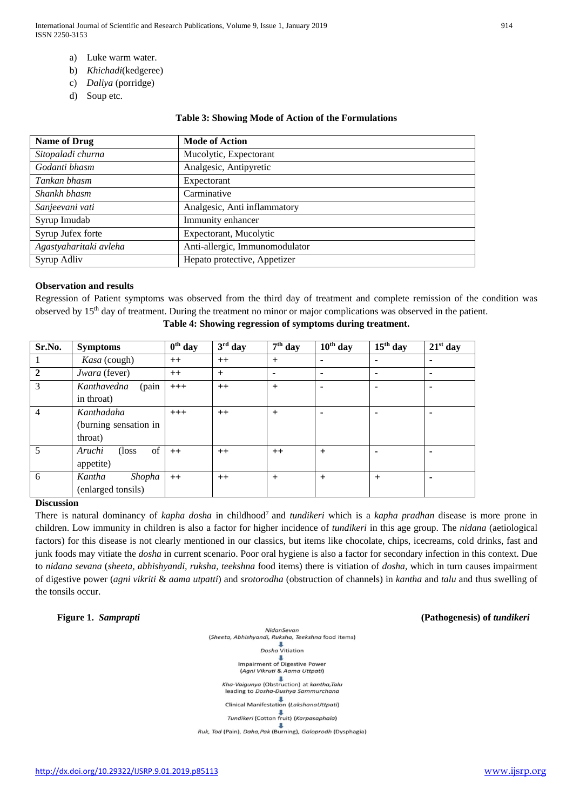International Journal of Scientific and Research Publications, Volume 9, Issue 1, January 2019 914 ISSN 2250-3153

- a) Luke warm water.
- b) *Khichadi*(kedgeree)
- c) *Daliya* (porridge)
- d) Soup etc.

#### **Table 3: Showing Mode of Action of the Formulations**

| <b>Name of Drug</b>    | <b>Mode of Action</b>          |
|------------------------|--------------------------------|
| Sitopaladi churna      | Mucolytic, Expectorant         |
| Godanti bhasm          | Analgesic, Antipyretic         |
| Tankan bhasm           | Expectorant                    |
| Shankh bhasm           | Carminative                    |
| Sanjeevani vati        | Analgesic, Anti inflammatory   |
| Syrup Imudab           | Immunity enhancer              |
| Syrup Jufex forte      | Expectorant, Mucolytic         |
| Agastyaharitaki avleha | Anti-allergic, Immunomodulator |
| Syrup Adliv            | Hepato protective, Appetizer   |

#### **Observation and results**

Regression of Patient symptoms was observed from the third day of treatment and complete remission of the condition was observed by 15th day of treatment. During the treatment no minor or major complications was observed in the patient.

| Sr.No.         | <b>Symptoms</b>        | $\overline{0}^{\text{th}}$ day | $3rd$ day | $\overline{7}^{\text{th}}$ day | $10th$ day | $15th$ day     | $21st$ day |
|----------------|------------------------|--------------------------------|-----------|--------------------------------|------------|----------------|------------|
|                | Kasa (cough)           | $++$                           | $++$      | $+$                            | ۰.         | $\blacksquare$ |            |
| $\overline{2}$ | Jwara (fever)          | $++$                           | $+$       | ۰                              | ۰          |                |            |
| 3              | (pain<br>Kanthavedna   | $+++$                          | $++$      | $+$                            |            |                |            |
|                | in throat)             |                                |           |                                |            |                |            |
| $\overline{4}$ | Kanthadaha             | $+++$                          | $++$      | $\ddot{}$                      | -          |                |            |
|                | (burning sensation in  |                                |           |                                |            |                |            |
|                | throat)                |                                |           |                                |            |                |            |
| 5              | of<br>Aruchi<br>(loss) | $++$                           | $++$      | $++$                           | $+$        |                |            |
|                | appetite)              |                                |           |                                |            |                |            |
| 6              | Shopha<br>Kantha       | $^{++}$                        | $++$      | $\ddot{}$                      | $+$        | $+$            |            |
|                | (enlarged tonsils)     |                                |           |                                |            |                |            |

#### **Table 4: Showing regression of symptoms during treatment.**

# **Discussion**

There is natural dominancy of *kapha dosha* in childhood7 and *tundikeri* which is a *kapha pradhan* disease is more prone in children. Low immunity in children is also a factor for higher incidence of *tundikeri* in this age group. The *nidana* (aetiological factors) for this disease is not clearly mentioned in our classics, but items like chocolate, chips, icecreams, cold drinks, fast and junk foods may vitiate the *dosha* in current scenario. Poor oral hygiene is also a factor for secondary infection in this context. Due to *nidana sevana* (*sheeta, abhishyandi, ruksha, teekshna* food items) there is vitiation of *dosha*, which in turn causes impairment of digestive power (*agni vikriti* & *aama utpatti*) and *srotorodha* (obstruction of channels) in *kantha* and *talu* and thus swelling of the tonsils occur.

# **Figure 1.** *Samprapti* **(Pathogenesis) of** *tundikeri*